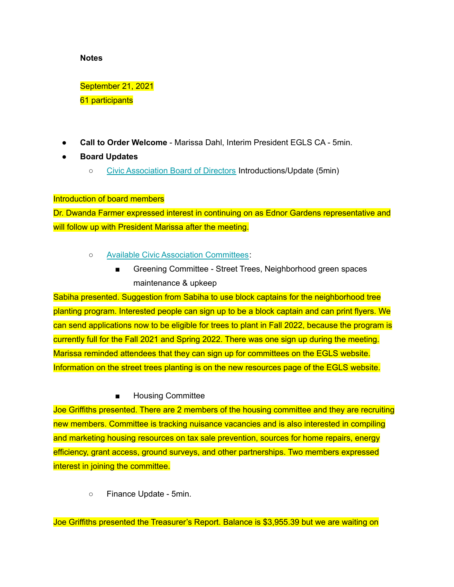#### **Notes**

September 21, 2021 61 participants

- **Call to Order Welcome** Marissa Dahl, Interim President EGLS CA 5min.
- **● Board Updates**
	- Civic [Association](https://www.ednorgardenslakeside.org/about-us) Board of Directors Introductions/Update (5min)

# Introduction of board members

Dr. Dwanda Farmer expressed interest in continuing on as Ednor Gardens representative and will follow up with President Marissa after the meeting.

- Available Civic Association [Committees](https://www.ednorgardenslakeside.org/committees):
	- Greening Committee Street Trees, Neighborhood green spaces maintenance & upkeep

Sabiha presented. Suggestion from Sabiha to use block captains for the neighborhood tree planting program. Interested people can sign up to be a block captain and can print flyers. We can send applications now to be eligible for trees to plant in Fall 2022, because the program is currently full for the Fall 2021 and Spring 2022. There was one sign up during the meeting. Marissa reminded attendees that they can sign up for committees on the EGLS website. Information on the street trees planting is on the new resources page of the EGLS website.

# ■ Housing Committee

Joe Griffiths presented. There are 2 members of the housing committee and they are recruiting new members. Committee is tracking nuisance vacancies and is also interested in compiling and marketing housing resources on tax sale prevention, sources for home repairs, energy efficiency, grant access, ground surveys, and other partnerships. Two members expressed interest in joining the committee.

○ Finance Update - 5min.

Joe Griffiths presented the Treasurer's Report. Balance is \$3,955.39 but we are waiting on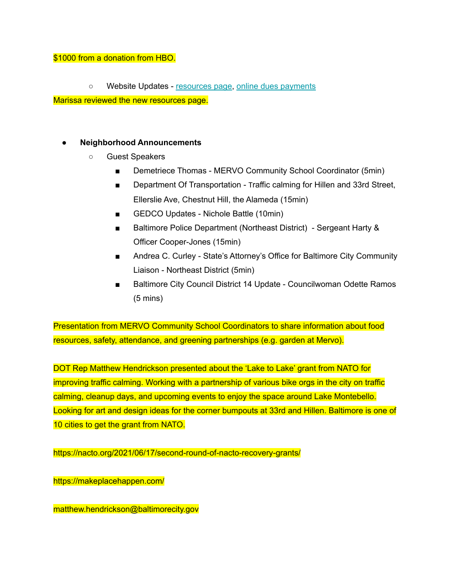### \$1000 from a donation from HBO.

○ Website Updates - [resources](https://www.ednorgardenslakeside.org/general-5) page, online dues [payments](https://www.ednorgardenslakeside.org/giving)

Marissa reviewed the new resources page.

# **● Neighborhood Announcements**

- Guest Speakers
	- Demetriece Thomas MERVO Community School Coordinator (5min)
	- Department Of Transportation Traffic calming for Hillen and 33rd Street, Ellerslie Ave, Chestnut Hill, the Alameda (15min)
	- GEDCO Updates Nichole Battle (10min)
	- Baltimore Police Department (Northeast District) Sergeant Harty & Officer Cooper-Jones (15min)
	- Andrea C. Curley State's Attorney's Office for Baltimore City Community Liaison - Northeast District (5min)
	- Baltimore City Council District 14 Update Councilwoman Odette Ramos (5 mins)

Presentation from MERVO Community School Coordinators to share information about food resources, safety, attendance, and greening partnerships (e.g. garden at Mervo).

DOT Rep Matthew Hendrickson presented about the 'Lake to Lake' grant from NATO for improving traffic calming. Working with a partnership of various bike orgs in the city on traffic calming, cleanup days, and upcoming events to enjoy the space around Lake Montebello. Looking for art and design ideas for the corner bumpouts at 33rd and Hillen. Baltimore is one of 10 cities to get the grant from NATO.

https://nacto.org/2021/06/17/second-round-of-nacto-recovery-grants/

https://makeplacehappen.com/

matthew.hendrickson@baltimorecity.gov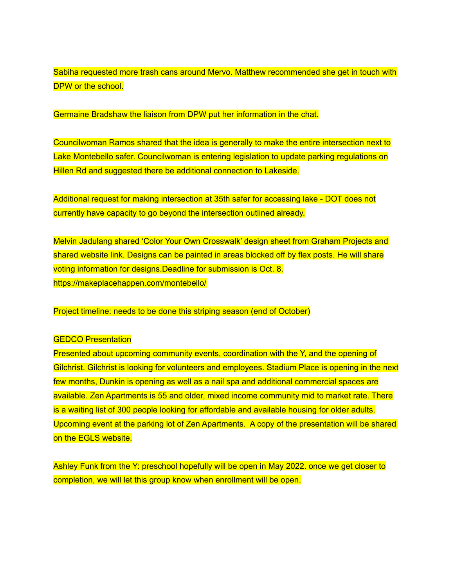Sabiha requested more trash cans around Mervo. Matthew recommended she get in touch with DPW or the school.

Germaine Bradshaw the liaison from DPW put her information in the chat.

Councilwoman Ramos shared that the idea is generally to make the entire intersection next to Lake Montebello safer. Councilwoman is entering legislation to update parking regulations on Hillen Rd and suggested there be additional connection to Lakeside.

Additional request for making intersection at 35th safer for accessing lake - DOT does not currently have capacity to go beyond the intersection outlined already.

Melvin Jadulang shared 'Color Your Own Crosswalk' design sheet from Graham Projects and shared website link. Designs can be painted in areas blocked off by flex posts. He will share voting information for designs.Deadline for submission is Oct. 8. https://makeplacehappen.com/montebello/

Project timeline: needs to be done this striping season (end of October)

#### **GEDCO Presentation**

Presented about upcoming community events, coordination with the Y, and the opening of Gilchrist. Gilchrist is looking for volunteers and employees. Stadium Place is opening in the next few months, Dunkin is opening as well as a nail spa and additional commercial spaces are available. Zen Apartments is 55 and older, mixed income community mid to market rate. There is a waiting list of 300 people looking for affordable and available housing for older adults. Upcoming event at the parking lot of Zen Apartments. A copy of the presentation will be shared on the EGLS website.

Ashley Funk from the Y: preschool hopefully will be open in May 2022. once we get closer to completion, we will let this group know when enrollment will be open.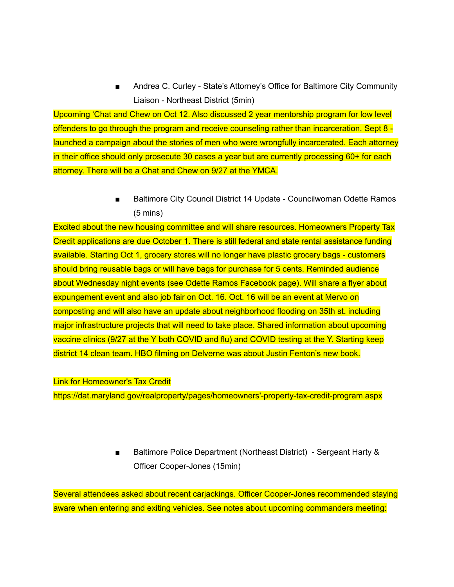Andrea C. Curley - State's Attorney's Office for Baltimore City Community Liaison - Northeast District (5min)

Upcoming 'Chat and Chew on Oct 12. Also discussed 2 year mentorship program for low level offenders to go through the program and receive counseling rather than incarceration. Sept 8 launched a campaign about the stories of men who were wrongfully incarcerated. Each attorney in their office should only prosecute 30 cases a year but are currently processing 60+ for each attorney. There will be a Chat and Chew on 9/27 at the YMCA.

> ■ Baltimore City Council District 14 Update - Councilwoman Odette Ramos (5 mins)

Excited about the new housing committee and will share resources. Homeowners Property Tax Credit applications are due October 1. There is still federal and state rental assistance funding available. Starting Oct 1, grocery stores will no longer have plastic grocery bags - customers should bring reusable bags or will have bags for purchase for 5 cents. Reminded audience about Wednesday night events (see Odette Ramos Facebook page). Will share a flyer about expungement event and also job fair on Oct. 16. Oct. 16 will be an event at Mervo on composting and will also have an update about neighborhood flooding on 35th st. including major infrastructure projects that will need to take place. Shared information about upcoming vaccine clinics (9/27 at the Y both COVID and flu) and COVID testing at the Y. Starting keep district 14 clean team. HBO filming on Delverne was about Justin Fenton's new book.

Link for Homeowner's Tax Credit

https://dat.maryland.gov/realproperty/pages/homeowners'-property-tax-credit-program.aspx

■ Baltimore Police Department (Northeast District) - Sergeant Harty & Officer Cooper-Jones (15min)

Several attendees asked about recent carjackings. Officer Cooper-Jones recommended staying aware when entering and exiting vehicles. See notes about upcoming commanders meeting: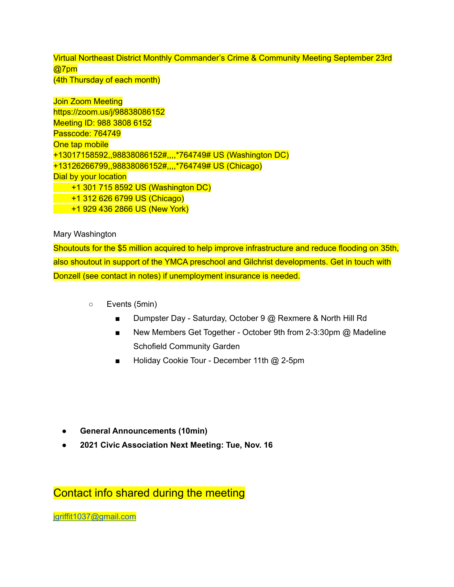Virtual Northeast District Monthly Commander's Crime & Community Meeting September 23rd @7pm (4th Thursday of each month)

Join Zoom Meeting https://zoom.us/j/98838086152 Meeting ID: 988 3808 6152 Passcode: 764749 One tap mobile +13017158592,,98838086152#,,,,\*764749# US (Washington DC) +13126266799,,98838086152#,,,,\*764749# US (Chicago) Dial by your location +1 301 715 8592 US (Washington DC) +1 312 626 6799 US (Chicago) +1 929 436 2866 US (New York)

Mary Washington

Shoutouts for the \$5 million acquired to help improve infrastructure and reduce flooding on 35th, also shoutout in support of the YMCA preschool and Gilchrist developments. Get in touch with Donzell (see contact in notes) if unemployment insurance is needed.

- Events (5min)
	- Dumpster Day Saturday, October 9 @ Rexmere & North Hill Rd
	- New Members Get Together October 9th from 2-3:30pm @ Madeline Schofield Community Garden
	- Holiday Cookie Tour December 11th @ 2-5pm

- **● General Announcements (10min)**
- **● 2021 Civic Association Next Meeting: Tue, Nov. 16**

Contact info shared during the meeting

[jgriffit1037@gmail.com](mailto:jgriffit1037@gmail.com)